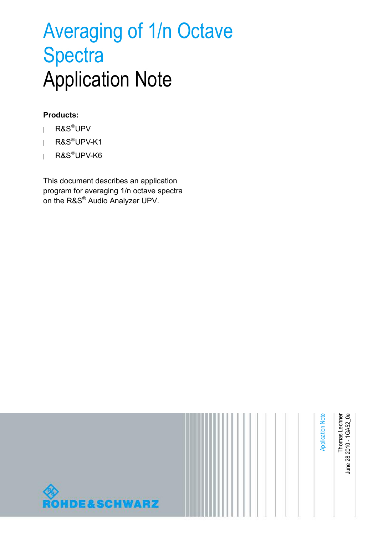# Averaging of 1/n Octave **Spectra** Application Note

#### **Products:**

- **<sup>|</sup>** R&SUPV
- **<sup>|</sup>** R&SUPV-K1
- **<sup>|</sup>** R&SUPV-K6

This document describes an application program for averaging 1/n octave spectra on the R&S® Audio Analyzer UPV.

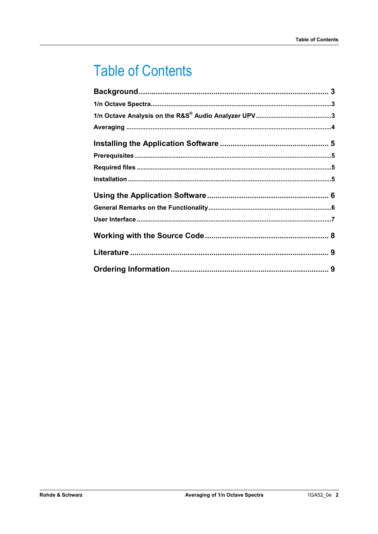# **Table of Contents**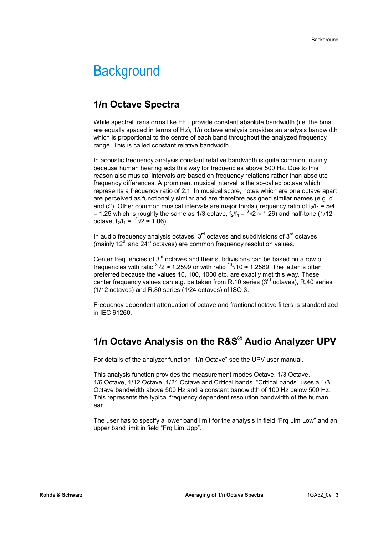### **Background**

#### **1/n Octave Spectra**

While spectral transforms like FFT provide constant absolute bandwidth (i.e. the bins are equally spaced in terms of Hz), 1/n octave analysis provides an analysis bandwidth which is proportional to the centre of each band throughout the analyzed frequency range. This is called constant relative bandwidth.

In acoustic frequency analysis constant relative bandwidth is quite common, mainly because human hearing acts this way for frequencies above 500 Hz. Due to this reason also musical intervals are based on frequency relations rather than absolute frequency differences. A prominent musical interval is the so-called octave which represents a frequency ratio of 2:1. In musical score, notes which are one octave apart are perceived as functionally similar and are therefore assigned similar names (e.g. c' and c''). Other common musical intervals are major thirds (frequency ratio of  $f_2/f_1 = 5/4$ = 1.25 which is roughly the same as 1/3 octave,  $f_2/f_1 = \sqrt[3]{2} \approx 1.26$ ) and half-tone (1/12 octave,  $f_2/f_1 = {}^{12}\sqrt{2} \approx 1.06$ ).

In audio frequency analysis octaves,  $3<sup>rd</sup>$  octaves and subdivisions of  $3<sup>rd</sup>$  octaves (mainly  $12<sup>th</sup>$  and  $24<sup>th</sup>$  octaves) are common frequency resolution values.

Center frequencies of  $3<sup>rd</sup>$  octaves and their subdivisions can be based on a row of frequencies with ratio  $3\sqrt{2} \approx 1.2599$  or with ratio  $10\sqrt{10} \approx 1.2589$ . The latter is often preferred because the values 10, 100, 1000 etc. are exactly met this way. These center frequency values can e.g. be taken from R.10 series  $(3<sup>rd</sup>$  octaves), R.40 series (1/12 octaves) and R.80 series (1/24 octaves) of ISO 3.

Frequency dependent attenuation of octave and fractional octave filters is standardized in IEC 61260.

### **1/n Octave Analysis on the R&S® Audio Analyzer UPV**

For details of the analyzer function "1/n Octave" see the UPV user manual.

This analysis function provides the measurement modes Octave, 1/3 Octave, 1/6 Octave, 1/12 Octave, 1/24 Octave and Critical bands. "Critical bands" uses a 1/3 Octave bandwidth above 500 Hz and a constant bandwidth of 100 Hz below 500 Hz. This represents the typical frequency dependent resolution bandwidth of the human ear.

The user has to specify a lower band limit for the analysis in field "Frq Lim Low" and an upper band limit in field "Frq Lim Upp".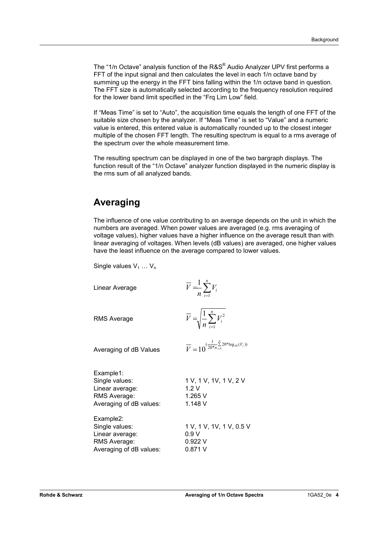The "1/n Octave" analysis function of the R&S<sup>®</sup> Audio Analyzer UPV first performs a FFT of the input signal and then calculates the level in each 1/n octave band by summing up the energy in the FFT bins falling within the 1/n octave band in question. The FFT size is automatically selected according to the frequency resolution required for the lower band limit specified in the "Frq Lim Low" field.

If "Meas Time" is set to "Auto", the acquisition time equals the length of one FFT of the suitable size chosen by the analyzer. If "Meas Time" is set to "Value" and a numeric value is entered, this entered value is automatically rounded up to the closest integer multiple of the chosen FFT length. The resulting spectrum is equal to a rms average of the spectrum over the whole measurement time.

The resulting spectrum can be displayed in one of the two bargraph displays. The function result of the "1/n Octave" analyzer function displayed in the numeric display is the rms sum of all analyzed bands.

#### **Averaging**

The influence of one value contributing to an average depends on the unit in which the numbers are averaged. When power values are averaged (e.g. rms averaging of voltage values), higher values have a higher influence on the average result than with linear averaging of voltages. When levels (dB values) are averaged, one higher values have the least influence on the average compared to lower values.

Single values  $V_1 \ldots V_n$ 

| Linear Average                                                                            | $\overline{V} = \frac{1}{n} \sum_{i=1}^{n} V_i$                               |  |
|-------------------------------------------------------------------------------------------|-------------------------------------------------------------------------------|--|
| <b>RMS Average</b>                                                                        | $\overline{V} = \sqrt{\frac{1}{n} \sum_{i=1}^{n} V_i^2}$                      |  |
| Averaging of dB Values                                                                    | $\overline{V} = 10^{(\frac{1}{20*n_{i=1}^n}\sum_{i=1}^n 20 * log_{10}(V_i))}$ |  |
| Example1:<br>Single values:<br>Linear average:<br>RMS Average:<br>Averaging of dB values: | 1 V, 1 V, 1V, 1 V, 2 V<br>1.2V<br>1.265 V<br>1.148 V                          |  |
| Example2:<br>Single values:<br>Linear average:<br>RMS Average:<br>Averaging of dB values: | 1 V, 1 V, 1V, 1 V, 0.5 V<br>0.9 V<br>0.922V<br>0.871 V                        |  |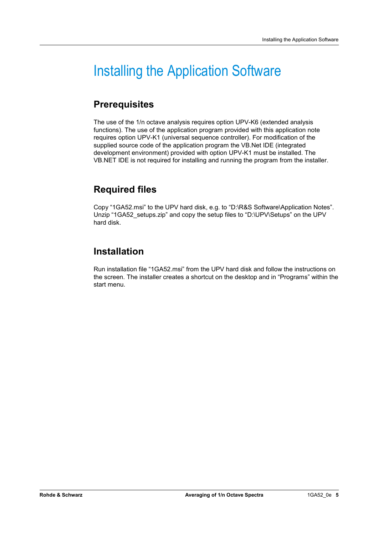## Installing the Application Software

### **Prerequisites**

The use of the 1/n octave analysis requires option UPV-K6 (extended analysis functions). The use of the application program provided with this application note requires option UPV-K1 (universal sequence controller). For modification of the supplied source code of the application program the VB.Net IDE (integrated development environment) provided with option UPV-K1 must be installed. The VB.NET IDE is not required for installing and running the program from the installer.

### **Required files**

Copy "1GA52.msi" to the UPV hard disk, e.g. to "D:\R&S Software\Application Notes". Unzip "1GA52\_setups.zip" and copy the setup files to "D:\UPV\Setups" on the UPV hard disk.

#### **Installation**

Run installation file "1GA52.msi" from the UPV hard disk and follow the instructions on the screen. The installer creates a shortcut on the desktop and in "Programs" within the start menu.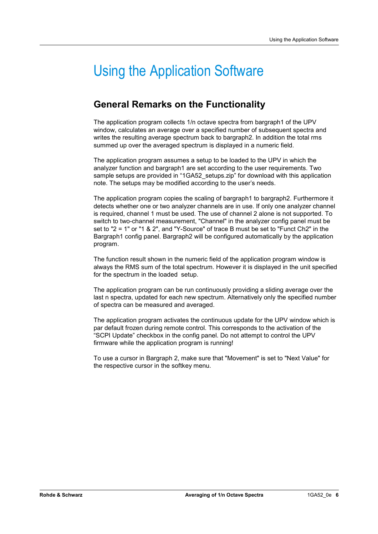## Using the Application Software

#### **General Remarks on the Functionality**

The application program collects 1/n octave spectra from bargraph1 of the UPV window, calculates an average over a specified number of subsequent spectra and writes the resulting average spectrum back to bargraph2. In addition the total rms summed up over the averaged spectrum is displayed in a numeric field.

The application program assumes a setup to be loaded to the UPV in which the analyzer function and bargraph1 are set according to the user requirements. Two sample setups are provided in "1GA52\_setups.zip" for download with this application note. The setups may be modified according to the user's needs.

The application program copies the scaling of bargraph1 to bargraph2. Furthermore it detects whether one or two analyzer channels are in use. If only one analyzer channel is required, channel 1 must be used. The use of channel 2 alone is not supported. To switch to two-channel measurement, "Channel" in the analyzer config panel must be set to "2 = 1" or "1 & 2", and "Y-Source" of trace B must be set to "Funct Ch2" in the Bargraph1 config panel. Bargraph2 will be configured automatically by the application program.

The function result shown in the numeric field of the application program window is always the RMS sum of the total spectrum. However it is displayed in the unit specified for the spectrum in the loaded setup.

The application program can be run continuously providing a sliding average over the last n spectra, updated for each new spectrum. Alternatively only the specified number of spectra can be measured and averaged.

The application program activates the continuous update for the UPV window which is par default frozen during remote control. This corresponds to the activation of the "SCPI Update" checkbox in the config panel. Do not attempt to control the UPV firmware while the application program is running!

To use a cursor in Bargraph 2, make sure that "Movement" is set to "Next Value" for the respective cursor in the softkey menu.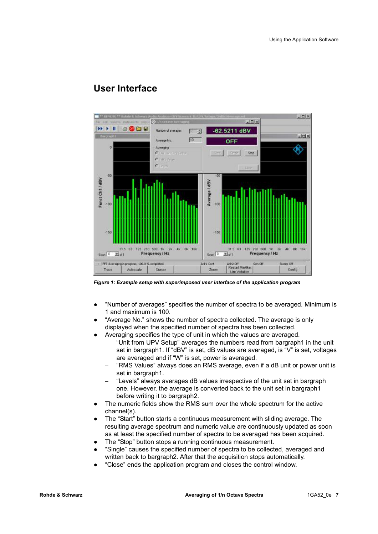

#### **User Interface**

*Figure 1: Example setup with superimposed user interface of the application program* 

- "Number of averages" specifies the number of spectra to be averaged. Minimum is 1 and maximum is 100.
- "Average No." shows the number of spectra collected. The average is only displayed when the specified number of spectra has been collected.
- Averaging specifies the type of unit in which the values are averaged.
	- "Unit from UPV Setup" averages the numbers read from bargraph1 in the unit set in bargraph1. If "dBV" is set, dB values are averaged, is "V" is set, voltages are averaged and if "W" is set, power is averaged.
	- "RMS Values" always does an RMS average, even if a dB unit or power unit is set in bargraph1.
	- "Levels" always averages dB values irrespective of the unit set in bargraph one. However, the average is converted back to the unit set in bargraph1 before writing it to bargraph2.
- The numeric fields show the RMS sum over the whole spectrum for the active channel(s).
- The "Start" button starts a continuous measurement with sliding average. The resulting average spectrum and numeric value are continuously updated as soon as at least the specified number of spectra to be averaged has been acquired.
- The "Stop" button stops a running continuous measurement.
- "Single" causes the specified number of spectra to be collected, averaged and written back to bargraph2. After that the acquisition stops automatically.
- "Close" ends the application program and closes the control window.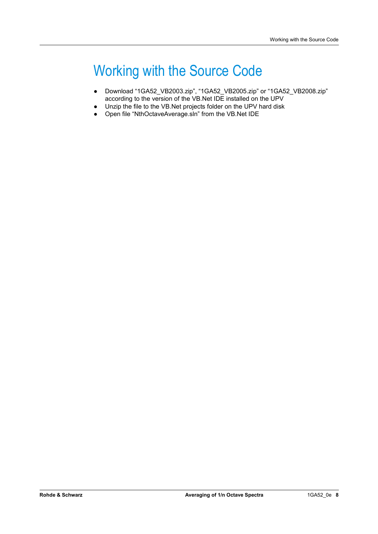## Working with the Source Code

- Download "1GA52\_VB2003.zip", "1GA52\_VB2005.zip" or "1GA52\_VB2008.zip" according to the version of the VB.Net IDE installed on the UPV
- Unzip the file to the VB.Net projects folder on the UPV hard disk
- Open file "NthOctaveAverage.sln" from the VB.Net IDE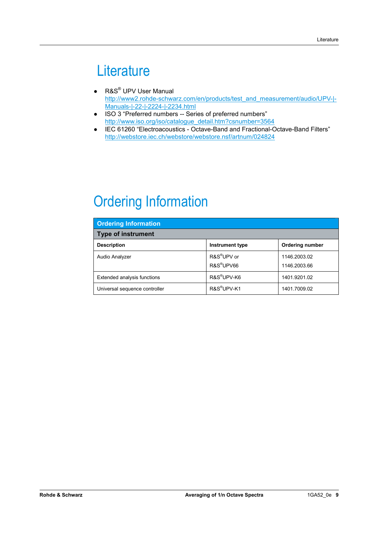### **Literature**

- $\bullet$  R&S<sup>®</sup> UPV User Manual http://www2.rohde-schwarz.com/en/products/test\_and\_measurement/audio/UPV-|-Manuals-|-22-|-2224-|-2234.html
- ISO 3 "Preferred numbers -- Series of preferred numbers" http://www.iso.org/iso/catalogue\_detail.htm?csnumber=3564
- IEC 61260 "Electroacoustics Octave-Band and Fractional-Octave-Band Filters" http://webstore.iec.ch/webstore/webstore.nsf/artnum/024824

# Ordering Information

| <b>Ordering Information</b>   |                         |                        |  |
|-------------------------------|-------------------------|------------------------|--|
| <b>Type of instrument</b>     |                         |                        |  |
| <b>Description</b>            | <b>Instrument type</b>  | <b>Ordering number</b> |  |
| <b>Audio Analyzer</b>         | R&S <sup>®</sup> UPV or | 1146.2003.02           |  |
|                               | R&S <sup>®</sup> UPV66  | 1146.2003.66           |  |
| Extended analysis functions   | R&S <sup>®</sup> UPV-K6 | 1401.9201.02           |  |
| Universal sequence controller | R&S <sup>®</sup> UPV-K1 | 1401.7009.02           |  |